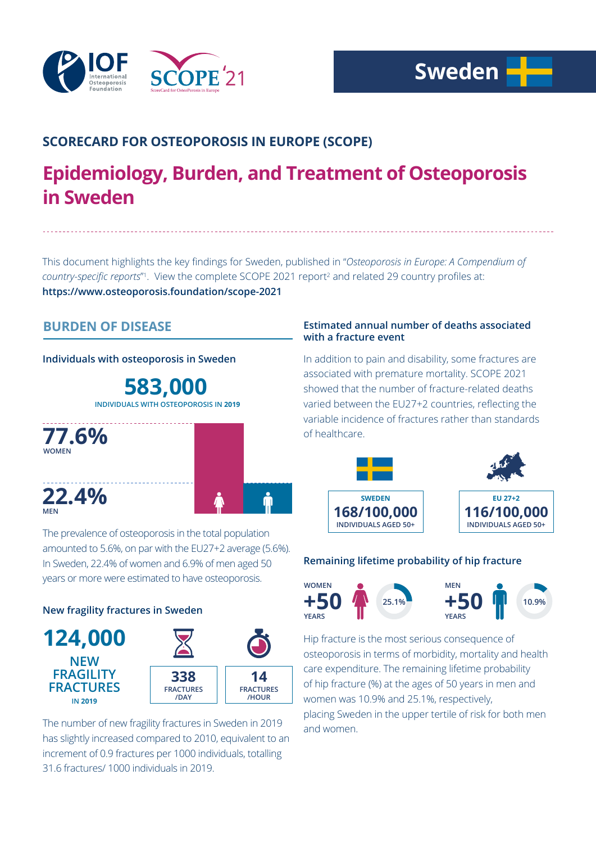

# **SCORECARD FOR OSTEOPOROSIS IN EUROPE (SCOPE)**

# **Epidemiology, Burden, and Treatment of Osteoporosis in Sweden**

This document highlights the key findings for Sweden, published in "*Osteoporosis in Europe: A Compendium of*  country-specific reports<sup>"</sup>. View the complete SCOPE 2021 report<sup>2</sup> and related 29 country profiles at: **https://www.osteoporosis.foundation/scope-2021**

# **BURDEN OF DISEASE**

## **Individuals with osteoporosis in Sweden**

**583,000 INDIVIDUALS WITH OSTEOPOROSIS IN 2019**



The prevalence of osteoporosis in the total population amounted to 5.6%, on par with the EU27+2 average (5.6%). In Sweden, 22.4% of women and 6.9% of men aged 50 years or more were estimated to have osteoporosis.

## **New fragility fractures in Sweden**



The number of new fragility fractures in Sweden in 2019 has slightly increased compared to 2010, equivalent to an increment of 0.9 fractures per 1000 individuals, totalling 31.6 fractures/ 1000 individuals in 2019.

### **Estimated annual number of deaths associated with a fracture event**

In addition to pain and disability, some fractures are associated with premature mortality. SCOPE 2021 showed that the number of fracture-related deaths varied between the EU27+2 countries, reflecting the variable incidence of fractures rather than standards of healthcare.



## **Remaining lifetime probability of hip fracture**



Hip fracture is the most serious consequence of osteoporosis in terms of morbidity, mortality and health care expenditure. The remaining lifetime probability of hip fracture (%) at the ages of 50 years in men and women was 10.9% and 25.1%, respectively, placing Sweden in the upper tertile of risk for both men and women.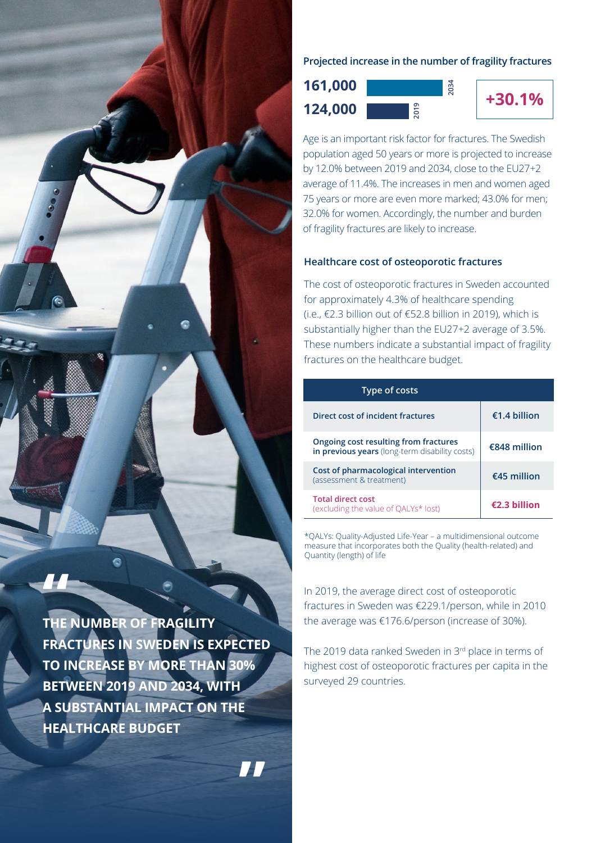

**THE NUMBER OF FRAGILITY FRACTURES IN SWEDEN IS EXPECTED TO INCREASE BY MORE THAN 30% BETWEEN 2019 AND 2034, WITH A SUBSTANTIAL IMPACT ON THE HEALTHCARE BUDGET**

**"**

**Projected increase in the number of fragility fractures**

**124,000 example 124,000 example 125 161,000**



Age is an important risk factor for fractures. The Swedish population aged 50 years or more is projected to increase by 12.0% between 2019 and 2034, close to the EU27+2 average of 11.4%. The increases in men and women aged 75 years or more are even more marked; 43.0% for men; 32.0% for women. Accordingly, the number and burden of fragility fractures are likely to increase.

#### **Healthcare cost of osteoporotic fractures**

The cost of osteoporotic fractures in Sweden accounted for approximately 4.3% of healthcare spending (i.e., €2.3 billion out of €52.8 billion in 2019), which is substantially higher than the EU27+2 average of 3.5%. These numbers indicate a substantial impact of fragility fractures on the healthcare budget.

| Type of costs                                                                           |                |
|-----------------------------------------------------------------------------------------|----------------|
| Direct cost of incident fractures                                                       | €1.4 billion   |
| Ongoing cost resulting from fractures<br>in previous years (long-term disability costs) | €848 million   |
| Cost of pharmacological intervention<br>(assessment & treatment)                        | $€45$ million  |
| <b>Total direct cost</b><br>(excluding the value of QALYs* lost)                        | $£2.3$ hillion |

\*QALYs: Quality-Adjusted Life-Year – a multidimensional outcome measure that incorporates both the Quality (health-related) and Quantity (length) of life

In 2019, the average direct cost of osteoporotic fractures in Sweden was €229.1/person, while in 2010 the average was €176.6/person (increase of 30%).

The 2019 data ranked Sweden in 3rd place in terms of highest cost of osteoporotic fractures per capita in the surveyed 29 countries.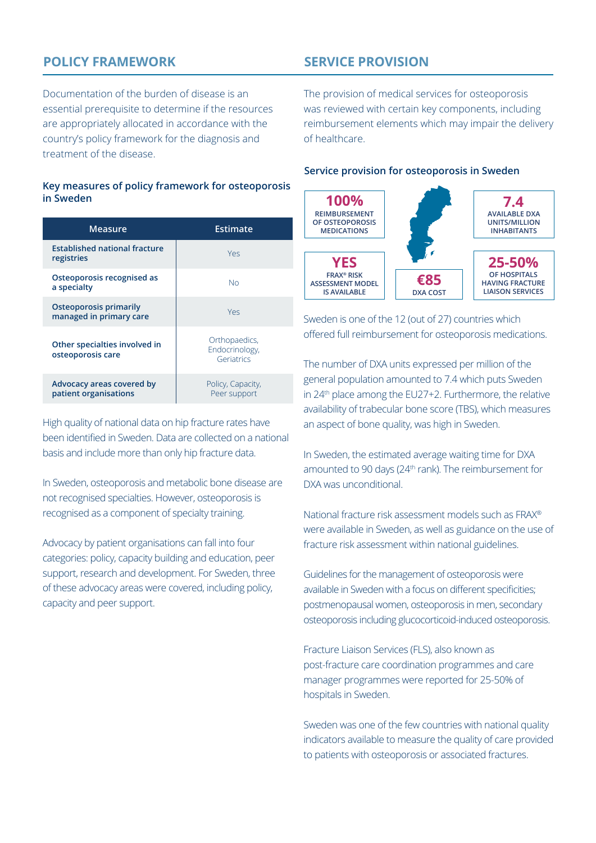# **POLICY FRAMEWORK**

**SERVICE PROVISION**

Documentation of the burden of disease is an essential prerequisite to determine if the resources are appropriately allocated in accordance with the country's policy framework for the diagnosis and treatment of the disease.

#### **Key measures of policy framework for osteoporosis in Sweden**

| <b>Measure</b>                                     | Estimate                                      |
|----------------------------------------------------|-----------------------------------------------|
| <b>Established national fracture</b><br>registries | Yes                                           |
| Osteoporosis recognised as<br>a specialty          | No                                            |
| Osteoporosis primarily<br>managed in primary care  | Yes                                           |
| Other specialties involved in<br>osteoporosis care | Orthopaedics,<br>Endocrinology,<br>Geriatrics |
| Advocacy areas covered by<br>patient organisations | Policy, Capacity,<br>Peer support             |

High quality of national data on hip fracture rates have been identified in Sweden. Data are collected on a national basis and include more than only hip fracture data.

In Sweden, osteoporosis and metabolic bone disease are not recognised specialties. However, osteoporosis is recognised as a component of specialty training.

Advocacy by patient organisations can fall into four categories: policy, capacity building and education, peer support, research and development. For Sweden, three of these advocacy areas were covered, including policy, capacity and peer support.

The provision of medical services for osteoporosis was reviewed with certain key components, including reimbursement elements which may impair the delivery of healthcare.

#### **Service provision for osteoporosis in Sweden**



Sweden is one of the 12 (out of 27) countries which offered full reimbursement for osteoporosis medications.

The number of DXA units expressed per million of the general population amounted to 7.4 which puts Sweden in 24th place among the EU27+2. Furthermore, the relative availability of trabecular bone score (TBS), which measures an aspect of bone quality, was high in Sweden.

In Sweden, the estimated average waiting time for DXA amounted to 90 days (24<sup>th</sup> rank). The reimbursement for DXA was unconditional.

National fracture risk assessment models such as FRAX® were available in Sweden, as well as guidance on the use of fracture risk assessment within national guidelines.

Guidelines for the management of osteoporosis were available in Sweden with a focus on different specificities; postmenopausal women, osteoporosis in men, secondary osteoporosis including glucocorticoid-induced osteoporosis.

Fracture Liaison Services (FLS), also known as post-fracture care coordination programmes and care manager programmes were reported for 25-50% of hospitals in Sweden.

Sweden was one of the few countries with national quality indicators available to measure the quality of care provided to patients with osteoporosis or associated fractures.